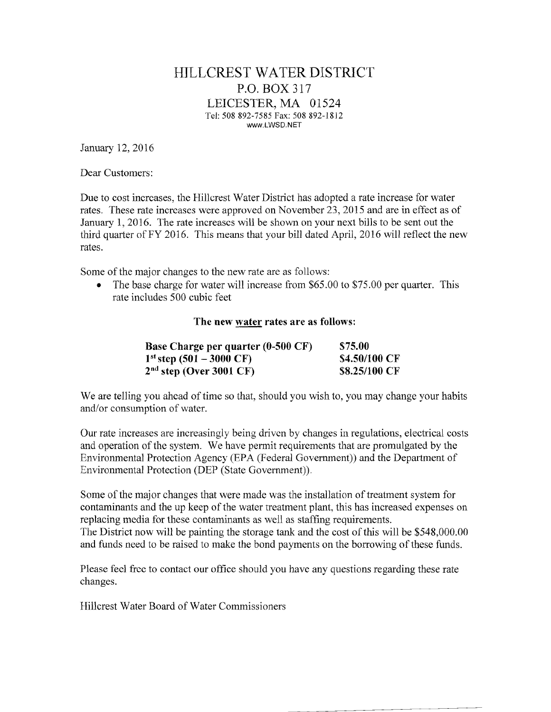## HILLCREST WATER DISTRICT P.O. BOX 317 LEICESTER, MA 01524 Tel: 508 892-7585 Fax: 508 892-18]2 www.LWSD.NET

January 12,2016

Dear Customers:

Due to cost increases, the Hillcrest Water District has adopted a rate increase for water rates. These rate increases were approved on November 23,2015 and are in effect as of January 1,2016. The rate increases will be shown on your next bills to be sent out the third quarter ofFY 2016. This means that your bill dated April, 2016 will reflect the new rates.

Some of the major changes to the new rate are as follows:

• The base charge for water will increase from \$65.00 to \$75.00 per quarter. This rate includes 500 cubic feet

The new water rates are as follows:

| <b>Base Charge per quarter (0-500 CF)</b> | \$75.00       |
|-------------------------------------------|---------------|
| $1^{st}$ step (501 – 3000 CF)             | \$4.50/100 CF |
| $2nd$ step (Over 3001 CF)                 | \$8.25/100 CF |

We are telling you ahead of time so that, should you wish to, you may change your habits and/or consumption of water.

Our rate increases are increasingly being driven by changes in regulations, electrical costs and operation of the system. We have permit requirements that are promulgated by the Environmental Protection Agency (EPA (Federal Government)) and the Department of Environmental Protection (DEP (State Government)).

Some of the major changes that were made was the installation of treatment system for contaminants and the up keep of the water treatment plant, this has increased expenses on replacing media for these contaminants as well as staffing requirements. The District now will be painting the storage tank and the cost of this will be \$548,000.00 and funds need to be raised to make the bond payments on the borrowing of these funds.

Please feel free to contact our office should you have any questions regarding these rate changes.

Hillcrest Water Board of Water Commissioners